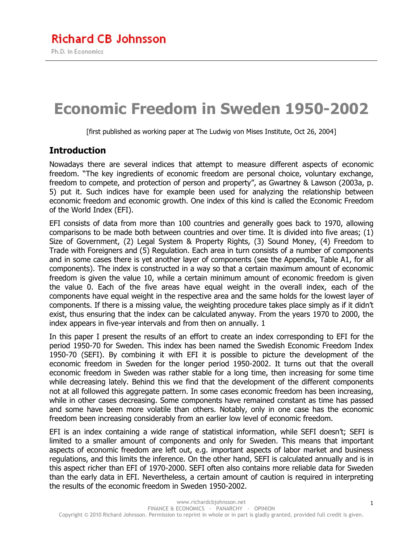# **Economic Freedom in Sweden 1950-2002**

[first published as working paper at The Ludwig von Mises Institute, Oct 26, 2004]

#### **Introduction**

Nowadays there are several indices that attempt to measure different aspects of economic freedom. "The key ingredients of economic freedom are personal choice, voluntary exchange, freedom to compete, and protection of person and property", as Gwartney & Lawson (2003a, p. 5) put it. Such indices have for example been used for analyzing the relationship between economic freedom and economic growth. One index of this kind is called the Economic Freedom of the World Index (EFI).

EFI consists of data from more than 100 countries and generally goes back to 1970, allowing comparisons to be made both between countries and over time. It is divided into five areas; (1) Size of Government, (2) Legal System & Property Rights, (3) Sound Money, (4) Freedom to Trade with Foreigners and (5) Regulation. Each area in turn consists of a number of components and in some cases there is yet another layer of components (see the Appendix, Table A1, for all components). The index is constructed in a way so that a certain maximum amount of economic freedom is given the value 10, while a certain minimum amount of economic freedom is given the value 0. Each of the five areas have equal weight in the overall index, each of the components have equal weight in the respective area and the same holds for the lowest layer of components. If there is a missing value, the weighting procedure takes place simply as if it didn't exist, thus ensuring that the index can be calculated anyway. From the years 1970 to 2000, the index appears in five-year intervals and from then on annually. 1

In this paper I present the results of an effort to create an index corresponding to EFI for the period 1950-70 for Sweden. This index has been named the Swedish Economic Freedom Index 1950-70 (SEFI). By combining it with EFI it is possible to picture the development of the economic freedom in Sweden for the longer period 1950-2002. It turns out that the overall economic freedom in Sweden was rather stable for a long time, then increasing for some time while decreasing lately. Behind this we find that the development of the different components not at all followed this aggregate pattern. In some cases economic freedom has been increasing, while in other cases decreasing. Some components have remained constant as time has passed and some have been more volatile than others. Notably, only in one case has the economic freedom been increasing considerably from an earlier low level of economic freedom.

EFI is an index containing a wide range of statistical information, while SEFI doesn't; SEFI is limited to a smaller amount of components and only for Sweden. This means that important aspects of economic freedom are left out, e.g. important aspects of labor market and business regulations, and this limits the inference. On the other hand, SEFI is calculated annually and is in this aspect richer than EFI of 1970-2000. SEFI often also contains more reliable data for Sweden than the early data in EFI. Nevertheless, a certain amount of caution is required in interpreting the results of the economic freedom in Sweden 1950-2002.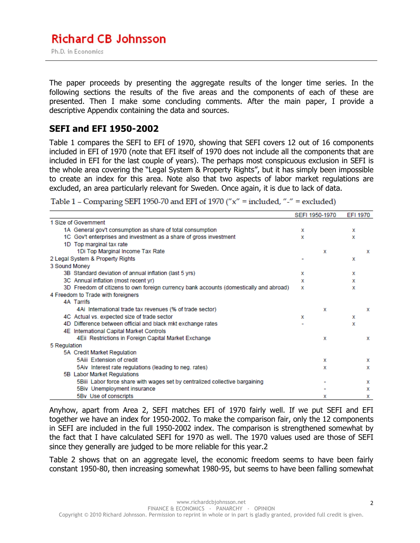The paper proceeds by presenting the aggregate results of the longer time series. In the following sections the results of the five areas and the components of each of these are presented. Then I make some concluding comments. After the main paper, I provide a descriptive Appendix containing the data and sources.

#### **SEFI and EFI 1950-2002**

Table 1 compares the SEFI to EFI of 1970, showing that SEFI covers 12 out of 16 components included in EFI of 1970 (note that EFI itself of 1970 does not include all the components that are included in EFI for the last couple of years). The perhaps most conspicuous exclusion in SEFI is the whole area covering the "Legal System & Property Rights", but it has simply been impossible to create an index for this area. Note also that two aspects of labor market regulations are excluded, an area particularly relevant for Sweden. Once again, it is due to lack of data.

|  | Table 1 – Comparing SEFI 1950-70 and EFI of 1970 (" $x$ " = included, "-" = excluded) |
|--|---------------------------------------------------------------------------------------|
|  |                                                                                       |

|                                                                                        |   | SEFI 1950-1970 | EFI 1970 |   |
|----------------------------------------------------------------------------------------|---|----------------|----------|---|
| 1 Size of Government                                                                   |   |                |          |   |
| 1A General gov't consumption as share of total consumption                             | х |                | x        |   |
| 1C Gov't enterprises and investment as a share of gross investment                     | х |                | x        |   |
| 1D Top marginal tax rate                                                               |   |                |          |   |
| 1Di Top Marginal Income Tax Rate                                                       |   | x              |          | x |
| 2 Legal System & Property Rights                                                       |   |                | x        |   |
| 3 Sound Money                                                                          |   |                |          |   |
| 3B Standard deviation of annual inflation (last 5 yrs)                                 | х |                | x        |   |
| 3C Annual inflation (most recent yr)                                                   | x |                | x        |   |
| 3D Freedom of citizens to own foreign currency bank accounts (domestically and abroad) | x |                | x        |   |
| 4 Freedom to Trade with foreigners                                                     |   |                |          |   |
| <b>4A Tarrifs</b>                                                                      |   |                |          |   |
| 4Ai International trade tax revenues (% of trade sector)                               |   | х              |          | x |
| 4C Actual vs. expected size of trade sector                                            | х |                | x        |   |
| 4D Difference between official and black mkt exchange rates                            |   |                | x        |   |
| 4E International Capital Market Controls                                               |   |                |          |   |
| 4Eii Restrictions in Foreign Capital Market Exchange                                   |   | х              |          | x |
| 5 Regulation                                                                           |   |                |          |   |
| 5A Credit Market Regulation                                                            |   |                |          |   |
| 5Aiii Extension of credit                                                              |   | x              |          | x |
| 5Aiv Interest rate regulations (leading to neg. rates)                                 |   | x              |          | x |
| 5B Labor Market Regulations                                                            |   |                |          |   |
| 5Biii Labor force share with wages set by centralized collective bargaining            |   |                |          | x |
| 5Biv Unemployment insurance                                                            |   |                |          | x |
| 5By Use of conscripts                                                                  |   | x              |          | x |

Anyhow, apart from Area 2, SEFI matches EFI of 1970 fairly well. If we put SEFI and EFI together we have an index for 1950-2002. To make the comparison fair, only the 12 components in SEFI are included in the full 1950-2002 index. The comparison is strengthened somewhat by the fact that I have calculated SEFI for 1970 as well. The 1970 values used are those of SEFI since they generally are judged to be more reliable for this year.2

Table 2 shows that on an aggregate level, the economic freedom seems to have been fairly constant 1950-80, then increasing somewhat 1980-95, but seems to have been falling somewhat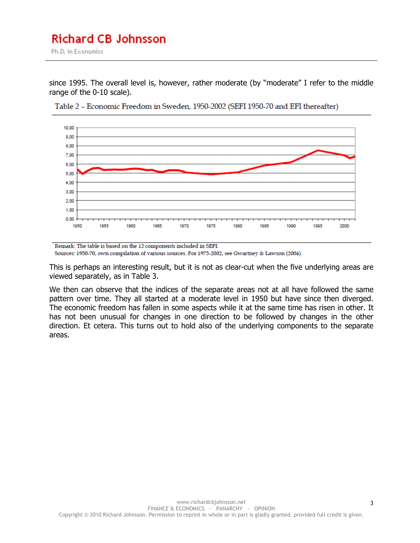Ph.D. in Economics

since 1995. The overall level is, however, rather moderate (by "moderate" I refer to the middle range of the 0-10 scale).



Table 2 - Economic Freedom in Sweden, 1950-2002 (SEFI 1950-70 and EFI thereafter)

Remark: The table is based on the 12 components included in SEFI. Sources: 1950-70, own compilation of various sources. For 1975-2002, see Gwartney & Lawson (2004).

This is perhaps an interesting result, but it is not as clear-cut when the five underlying areas are viewed separately, as in Table 3.

We then can observe that the indices of the separate areas not at all have followed the same pattern over time. They all started at a moderate level in 1950 but have since then diverged. The economic freedom has fallen in some aspects while it at the same time has risen in other. It has not been unusual for changes in one direction to be followed by changes in the other direction. Et cetera. This turns out to hold also of the underlying components to the separate areas.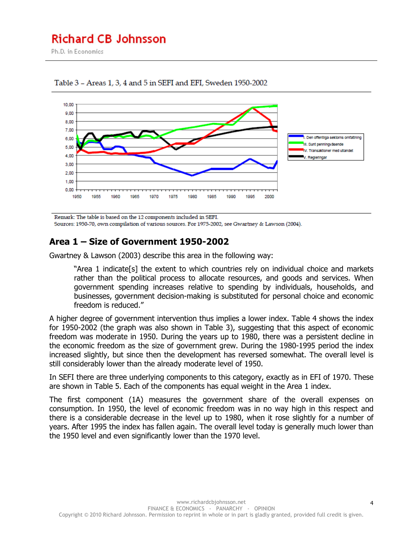Ph.D. in Economics





Remark: The table is based on the 12 components included in SEFI. Sources: 1950-70, own compilation of various sources. For 1975-2002, see Gwartney & Lawson (2004).

## **Area 1 – Size of Government 1950-2002**

Gwartney & Lawson (2003) describe this area in the following way:

"Area 1 indicate[s] the extent to which countries rely on individual choice and markets rather than the political process to allocate resources, and goods and services. When government spending increases relative to spending by individuals, households, and businesses, government decision-making is substituted for personal choice and economic freedom is reduced."

A higher degree of government intervention thus implies a lower index. Table 4 shows the index for 1950-2002 (the graph was also shown in Table 3), suggesting that this aspect of economic freedom was moderate in 1950. During the years up to 1980, there was a persistent decline in the economic freedom as the size of government grew. During the 1980-1995 period the index increased slightly, but since then the development has reversed somewhat. The overall level is still considerably lower than the already moderate level of 1950.

In SEFI there are three underlying components to this category, exactly as in EFI of 1970. These are shown in Table 5. Each of the components has equal weight in the Area 1 index.

The first component (1A) measures the government share of the overall expenses on consumption. In 1950, the level of economic freedom was in no way high in this respect and there is a considerable decrease in the level up to 1980, when it rose slightly for a number of years. After 1995 the index has fallen again. The overall level today is generally much lower than the 1950 level and even significantly lower than the 1970 level.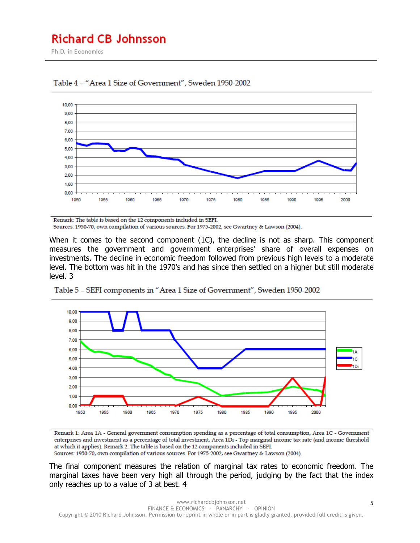Ph.D. in Economics





Remark: The table is based on the 12 components included in SEFI. Sources: 1950-70, own compilation of various sources. For 1975-2002, see Gwartney & Lawson (2004).

When it comes to the second component (1C), the decline is not as sharp. This component measures the government and government enterprises' share of overall expenses on investments. The decline in economic freedom followed from previous high levels to a moderate level. The bottom was hit in the 1970's and has since then settled on a higher but still moderate level. 3



Table 5 - SEFI components in "Area 1 Size of Government", Sweden 1950-2002

Remark 1: Area 1A - General government consumption spending as a percentage of total consumption, Area 1C - Government enterprises and investment as a percentage of total investment, Area 1Di - Top marginal income tax rate (and income threshold at which it applies). Remark 2: The table is based on the 12 components included in SEFI.

Sources: 1950-70, own compilation of various sources. For 1975-2002, see Gwartney & Lawson (2004).

The final component measures the relation of marginal tax rates to economic freedom. The marginal taxes have been very high all through the period, judging by the fact that the index only reaches up to a value of 3 at best. 4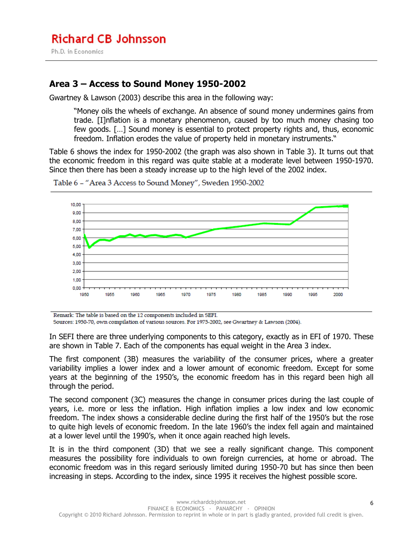## **Area 3 – Access to Sound Money 1950-2002**

Gwartney & Lawson (2003) describe this area in the following way:

"Money oils the wheels of exchange. An absence of sound money undermines gains from trade. [I]nflation is a monetary phenomenon, caused by too much money chasing too few goods. […] Sound money is essential to protect property rights and, thus, economic freedom. Inflation erodes the value of property held in monetary instruments."

Table 6 shows the index for 1950-2002 (the graph was also shown in Table 3). It turns out that the economic freedom in this regard was quite stable at a moderate level between 1950-1970. Since then there has been a steady increase up to the high level of the 2002 index.



Table 6 - "Area 3 Access to Sound Money", Sweden 1950-2002

Remark: The table is based on the 12 components included in SEFI.

Sources: 1950-70, own compilation of various sources. For 1975-2002, see Gwartney & Lawson (2004).

In SEFI there are three underlying components to this category, exactly as in EFI of 1970. These are shown in Table 7. Each of the components has equal weight in the Area 3 index.

The first component (3B) measures the variability of the consumer prices, where a greater variability implies a lower index and a lower amount of economic freedom. Except for some years at the beginning of the 1950's, the economic freedom has in this regard been high all through the period.

The second component (3C) measures the change in consumer prices during the last couple of years, i.e. more or less the inflation. High inflation implies a low index and low economic freedom. The index shows a considerable decline during the first half of the 1950's but the rose to quite high levels of economic freedom. In the late 1960's the index fell again and maintained at a lower level until the 1990's, when it once again reached high levels.

It is in the third component (3D) that we see a really significant change. This component measures the possibility fore individuals to own foreign currencies, at home or abroad. The economic freedom was in this regard seriously limited during 1950-70 but has since then been increasing in steps. According to the index, since 1995 it receives the highest possible score.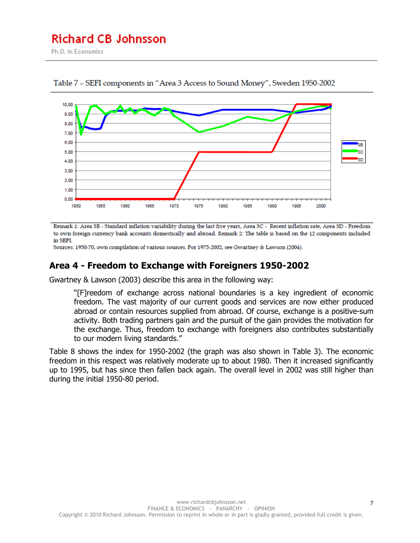Ph.D. in Economics



Table 7 - SEFI components in "Area 3 Access to Sound Money", Sweden 1950-2002

Remark 1: Area 3B - Standard inflation variability during the last five years, Area 3C - Recent inflation rate, Area 3D - Freedom to own foreign currency bank accounts domestically and abroad. Remark 2: The table is based on the 12 components included in SEFI.

Sources: 1950-70, own compilation of various sources. For 1975-2002, see Gwartney & Lawson (2004).

#### **Area 4 - Freedom to Exchange with Foreigners 1950-2002**

Gwartney & Lawson (2003) describe this area in the following way:

"[F]reedom of exchange across national boundaries is a key ingredient of economic freedom. The vast majority of our current goods and services are now either produced abroad or contain resources supplied from abroad. Of course, exchange is a positive-sum activity. Both trading partners gain and the pursuit of the gain provides the motivation for the exchange. Thus, freedom to exchange with foreigners also contributes substantially to our modern living standards."

Table 8 shows the index for 1950-2002 (the graph was also shown in Table 3). The economic freedom in this respect was relatively moderate up to about 1980. Then it increased significantly up to 1995, but has since then fallen back again. The overall level in 2002 was still higher than during the initial 1950-80 period.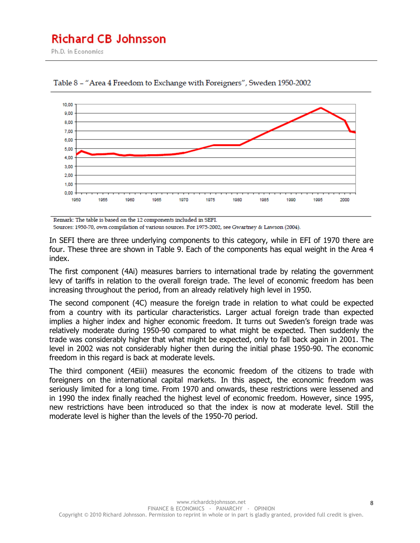Ph.D. in Economics



Table 8 - "Area 4 Freedom to Exchange with Foreigners", Sweden 1950-2002

Remark: The table is based on the 12 components included in SEFI.

Sources: 1950-70, own compilation of various sources. For 1975-2002, see Gwartney & Lawson (2004).

In SEFI there are three underlying components to this category, while in EFI of 1970 there are four. These three are shown in Table 9. Each of the components has equal weight in the Area 4 index.

The first component (4Ai) measures barriers to international trade by relating the government levy of tariffs in relation to the overall foreign trade. The level of economic freedom has been increasing throughout the period, from an already relatively high level in 1950.

The second component (4C) measure the foreign trade in relation to what could be expected from a country with its particular characteristics. Larger actual foreign trade than expected implies a higher index and higher economic freedom. It turns out Sweden's foreign trade was relatively moderate during 1950-90 compared to what might be expected. Then suddenly the trade was considerably higher that what might be expected, only to fall back again in 2001. The level in 2002 was not considerably higher then during the initial phase 1950-90. The economic freedom in this regard is back at moderate levels.

The third component (4Eiii) measures the economic freedom of the citizens to trade with foreigners on the international capital markets. In this aspect, the economic freedom was seriously limited for a long time. From 1970 and onwards, these restrictions were lessened and in 1990 the index finally reached the highest level of economic freedom. However, since 1995, new restrictions have been introduced so that the index is now at moderate level. Still the moderate level is higher than the levels of the 1950-70 period.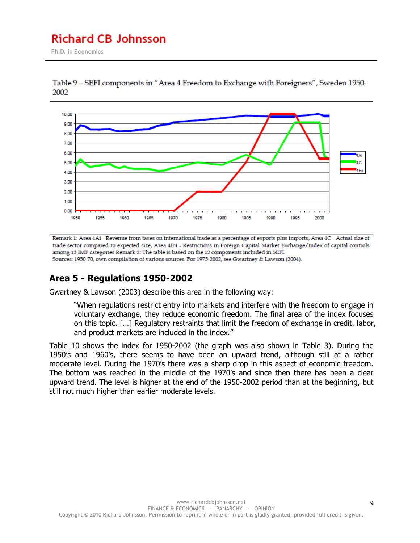Ph.D. in Economics



Table 9 - SEFI components in "Area 4 Freedom to Exchange with Foreigners", Sweden 1950-2002

Remark 1: Area 4Ai - Revenue from taxes on international trade as a percentage of exports plus imports, Area 4C - Actual size of trade sector compared to expected size, Area 4Eii - Restrictions in Foreign Capital Market Exchange/Index of capital controls among 13 IMF categories Remark 2: The table is based on the 12 components included in SEFI. Sources: 1950-70, own compilation of various sources. For 1975-2002, see Gwartney & Lawson (2004).

## **Area 5 - Regulations 1950-2002**

Gwartney & Lawson (2003) describe this area in the following way:

"When regulations restrict entry into markets and interfere with the freedom to engage in voluntary exchange, they reduce economic freedom. The final area of the index focuses on this topic. […] Regulatory restraints that limit the freedom of exchange in credit, labor, and product markets are included in the index."

Table 10 shows the index for 1950-2002 (the graph was also shown in Table 3). During the 1950's and 1960's, there seems to have been an upward trend, although still at a rather moderate level. During the 1970's there was a sharp drop in this aspect of economic freedom. The bottom was reached in the middle of the 1970's and since then there has been a clear upward trend. The level is higher at the end of the 1950-2002 period than at the beginning, but still not much higher than earlier moderate levels.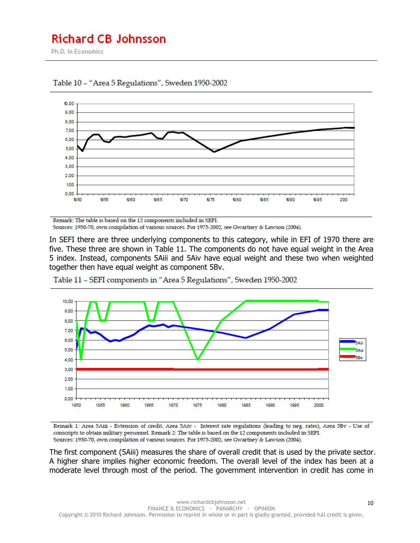Ph.D. in Economics



Table 10 - "Area 5 Regulations", Sweden 1950-2002

Remark: The table is based on the 12 components included in SEFI. Sources: 1950-70, own compilation of various sources. For 1975-2002, see Gwartney & Lawson (2004).

In SEFI there are three underlying components to this category, while in EFI of 1970 there are five. These three are shown in Table 11. The components do not have equal weight in the Area 5 index. Instead, components 5Aiii and 5Aiv have equal weight and these two when weighted together then have equal weight as component 5Bv.



Table 11 - SEFI components in "Area 5 Regulations", Sweden 1950-2002

Remark 1: Area 5Aiii - Extension of credit, Area 5Aiv - Interest rate regulations (leading to neg. rates), Area 5Bv - Use of conscripts to obtain military personnel. Remark 2: The table is based on the 12 components included in SEFI. Sources: 1950-70, own compilation of various sources. For 1975-2002, see Gwartney & Lawson (2004).

The first component (5Aiii) measures the share of overall credit that is used by the private sector. A higher share implies higher economic freedom. The overall level of the index has been at a moderate level through most of the period. The government intervention in credit has come in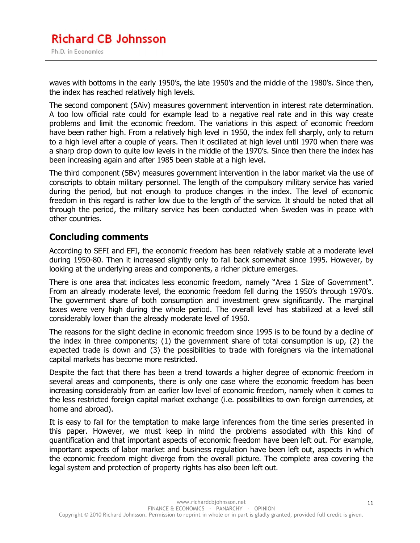waves with bottoms in the early 1950's, the late 1950's and the middle of the 1980's. Since then, the index has reached relatively high levels.

The second component (5Aiv) measures government intervention in interest rate determination. A too low official rate could for example lead to a negative real rate and in this way create problems and limit the economic freedom. The variations in this aspect of economic freedom have been rather high. From a relatively high level in 1950, the index fell sharply, only to return to a high level after a couple of years. Then it oscillated at high level until 1970 when there was a sharp drop down to quite low levels in the middle of the 1970's. Since then there the index has been increasing again and after 1985 been stable at a high level.

The third component (5Bv) measures government intervention in the labor market via the use of conscripts to obtain military personnel. The length of the compulsory military service has varied during the period, but not enough to produce changes in the index. The level of economic freedom in this regard is rather low due to the length of the service. It should be noted that all through the period, the military service has been conducted when Sweden was in peace with other countries.

### **Concluding comments**

According to SEFI and EFI, the economic freedom has been relatively stable at a moderate level during 1950-80. Then it increased slightly only to fall back somewhat since 1995. However, by looking at the underlying areas and components, a richer picture emerges.

There is one area that indicates less economic freedom, namely "Area 1 Size of Government". From an already moderate level, the economic freedom fell during the 1950's through 1970's. The government share of both consumption and investment grew significantly. The marginal taxes were very high during the whole period. The overall level has stabilized at a level still considerably lower than the already moderate level of 1950.

The reasons for the slight decline in economic freedom since 1995 is to be found by a decline of the index in three components; (1) the government share of total consumption is up, (2) the expected trade is down and (3) the possibilities to trade with foreigners via the international capital markets has become more restricted.

Despite the fact that there has been a trend towards a higher degree of economic freedom in several areas and components, there is only one case where the economic freedom has been increasing considerably from an earlier low level of economic freedom, namely when it comes to the less restricted foreign capital market exchange (i.e. possibilities to own foreign currencies, at home and abroad).

It is easy to fall for the temptation to make large inferences from the time series presented in this paper. However, we must keep in mind the problems associated with this kind of quantification and that important aspects of economic freedom have been left out. For example, important aspects of labor market and business regulation have been left out, aspects in which the economic freedom might diverge from the overall picture. The complete area covering the legal system and protection of property rights has also been left out.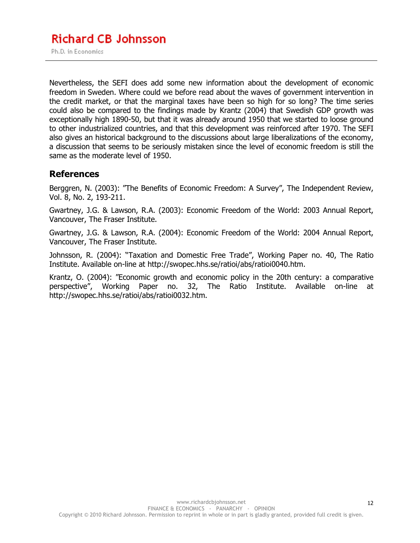Nevertheless, the SEFI does add some new information about the development of economic freedom in Sweden. Where could we before read about the waves of government intervention in the credit market, or that the marginal taxes have been so high for so long? The time series could also be compared to the findings made by Krantz (2004) that Swedish GDP growth was exceptionally high 1890-50, but that it was already around 1950 that we started to loose ground to other industrialized countries, and that this development was reinforced after 1970. The SEFI also gives an historical background to the discussions about large liberalizations of the economy, a discussion that seems to be seriously mistaken since the level of economic freedom is still the same as the moderate level of 1950.

#### **References**

Berggren, N. (2003): "The Benefits of Economic Freedom: A Survey", The Independent Review, Vol. 8, No. 2, 193-211.

Gwartney, J.G. & Lawson, R.A. (2003): Economic Freedom of the World: 2003 Annual Report, Vancouver, The Fraser Institute.

Gwartney, J.G. & Lawson, R.A. (2004): Economic Freedom of the World: 2004 Annual Report, Vancouver, The Fraser Institute.

Johnsson, R. (2004): "Taxation and Domestic Free Trade", Working Paper no. 40, The Ratio Institute. Available on-line at http://swopec.hhs.se/ratioi/abs/ratioi0040.htm.

Krantz, O. (2004): "Economic growth and economic policy in the 20th century: a comparative perspective", Working Paper no. 32, The Ratio Institute. Available on-line at http://swopec.hhs.se/ratioi/abs/ratioi0032.htm.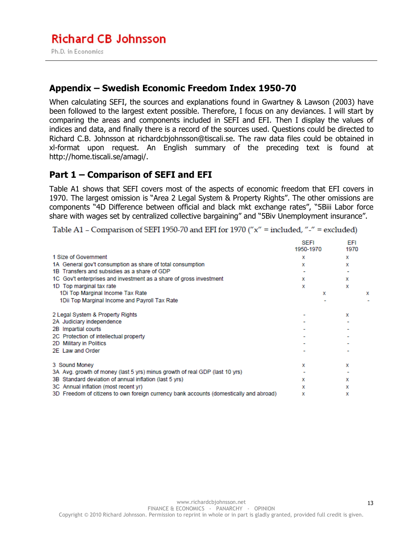## **Appendix – Swedish Economic Freedom Index 1950-70**

When calculating SEFI, the sources and explanations found in Gwartney & Lawson (2003) have been followed to the largest extent possible. Therefore, I focus on any deviances. I will start by comparing the areas and components included in SEFI and EFI. Then I display the values of indices and data, and finally there is a record of the sources used. Questions could be directed to Richard C.B. Johnsson at richardcbjohnsson@tiscali.se. The raw data files could be obtained in xl-format upon request. An English summary of the preceding text is found at http://home.tiscali.se/amagi/.

## **Part 1 – Comparison of SEFI and EFI**

Table A1 shows that SEFI covers most of the aspects of economic freedom that EFI covers in 1970. The largest omission is "Area 2 Legal System & Property Rights". The other omissions are components "4D Difference between official and black mkt exchange rates", "5Biii Labor force share with wages set by centralized collective bargaining" and "5Biv Unemployment insurance".

Table A1 - Comparison of SEFI 1950-70 and EFI for 1970 ("x" = included, "-" = excluded)

|                                                                                        | <b>SEFI</b><br>1950-1970 | EFI<br>1970 |   |
|----------------------------------------------------------------------------------------|--------------------------|-------------|---|
| 1 Size of Government                                                                   | x                        | x           |   |
| 1A General gov't consumption as share of total consumption                             | x                        | x           |   |
| 1B Transfers and subsidies as a share of GDP                                           |                          |             |   |
| 1C Gov't enterprises and investment as a share of gross investment                     | x                        | x           |   |
| 1D Top marginal tax rate                                                               | x                        | x           |   |
| 1Di Top Marginal Income Tax Rate                                                       |                          | x           | x |
| 1Dii Top Marginal Income and Payroll Tax Rate                                          |                          |             |   |
| 2 Legal System & Property Rights                                                       |                          | x           |   |
| 2A Judiciary independence                                                              |                          |             |   |
| 2B Impartial courts                                                                    |                          |             |   |
| 2C Protection of intellectual property                                                 |                          |             |   |
| 2D Military in Politics                                                                |                          |             |   |
| 2E Law and Order                                                                       |                          |             |   |
| 3 Sound Money                                                                          | x                        | x           |   |
| 3A Avg. growth of money (last 5 yrs) minus growth of real GDP (last 10 yrs)            |                          |             |   |
| 3B Standard deviation of annual inflation (last 5 yrs)                                 | x                        | x           |   |
| 3C Annual inflation (most recent yr)                                                   | x                        | x           |   |
| 3D Freedom of citizens to own foreign currency bank accounts (domestically and abroad) | x                        | x           |   |

13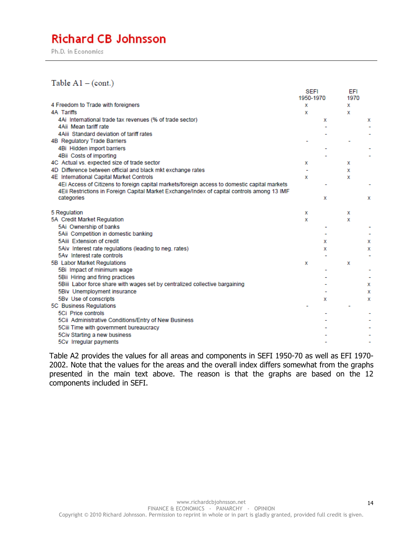Ph.D. in Economics

#### Table  $A1 - (cont.)$

|                                                                                              | <b>SEFI</b><br>1950-1970 |   | <b>EFI</b><br>1970 |   |
|----------------------------------------------------------------------------------------------|--------------------------|---|--------------------|---|
| 4 Freedom to Trade with foreigners                                                           | х                        |   | x                  |   |
| <b>4A Tariffs</b>                                                                            | х                        |   | x                  |   |
| 4Ai International trade tax revenues (% of trade sector)                                     |                          | х |                    | х |
| 4Aii Mean tariff rate                                                                        |                          |   |                    |   |
| 4Aiii Standard deviation of tariff rates                                                     |                          |   |                    |   |
| 4B Regulatory Trade Barriers                                                                 |                          |   |                    |   |
| 4Bi Hidden import barriers                                                                   |                          |   |                    |   |
| 4Bii Costs of importing                                                                      |                          |   |                    |   |
| 4C Actual vs. expected size of trade sector                                                  | х                        |   | x                  |   |
| 4D Difference between official and black mkt exchange rates                                  |                          |   | x                  |   |
| 4E International Capital Market Controls                                                     | х                        |   | x                  |   |
| 4Ei Access of Citizens to foreign capital markets/foreign access to domestic capital markets |                          |   |                    |   |
| 4Eii Restrictions in Foreign Capital Market Exchange/Index of capital controls among 13 IMF  |                          |   |                    |   |
| categories                                                                                   |                          | x |                    | x |
| 5 Regulation                                                                                 | х                        |   | х                  |   |
| 5A Credit Market Regulation                                                                  | x                        |   | x                  |   |
| 5Ai Ownership of banks                                                                       |                          |   |                    |   |
| 5Aii Competition in domestic banking                                                         |                          |   |                    |   |
| 5Aiii Extension of credit                                                                    |                          | x |                    | х |
| 5Aiv Interest rate regulations (leading to neg. rates)                                       |                          | x |                    | х |
| 5Ay Interest rate controls                                                                   |                          |   |                    |   |
| 5B Labor Market Regulations                                                                  | х                        |   | x                  |   |
| 5Bi Impact of minimum wage                                                                   |                          |   |                    |   |
| 5Bii Hiring and firing practices                                                             |                          |   |                    |   |
| 5Biii Labor force share with wages set by centralized collective bargaining                  |                          |   |                    | х |
| 5Biv Unemployment insurance                                                                  |                          |   |                    | х |
| 5By Use of conscripts                                                                        |                          | x |                    | x |
| 5C Business Regulations                                                                      |                          |   |                    |   |
| 5Ci Price controls                                                                           |                          |   |                    |   |
| 5Cii Administrative Conditions/Entry of New Business                                         |                          |   |                    |   |
| 5Ciii Time with government bureaucracy                                                       |                          |   |                    |   |
| 5Civ Starting a new business                                                                 |                          |   |                    |   |
| 5Cv Irregular payments                                                                       |                          |   |                    |   |

Table A2 provides the values for all areas and components in SEFI 1950-70 as well as EFI 1970- 2002. Note that the values for the areas and the overall index differs somewhat from the graphs presented in the main text above. The reason is that the graphs are based on the 12 components included in SEFI.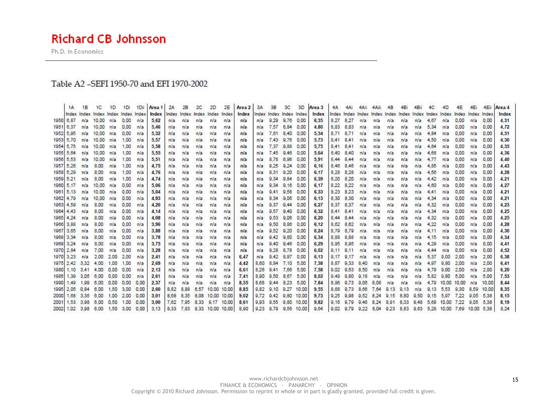Ph.D. in Economics

#### Table A2-SEFI 1950-70 and EFI 1970-2002

|                     | <b>1A</b> | 1B  | 1C                                  | 1D        |      | 1Di 1Di | Area 1 2A     |      | 2B   | 2C   | 2D                      | 2E    | Area 2 | 3A                   | $-3B$          | 3C                      |                 | 3D Area 3 |           | 4A 4Ai 4Aii 4Aii                                                        |               |                     | $-4B$     | 4Bi | 4Bii | 4C.                  | 4D               | 4E   | 4E1         |       | 4Eii Area 4 |
|---------------------|-----------|-----|-------------------------------------|-----------|------|---------|---------------|------|------|------|-------------------------|-------|--------|----------------------|----------------|-------------------------|-----------------|-----------|-----------|-------------------------------------------------------------------------|---------------|---------------------|-----------|-----|------|----------------------|------------------|------|-------------|-------|-------------|
|                     |           |     | Index Index Index Index Index Index |           |      |         | Index         |      |      |      | Index Index Index Index | Index | index  |                      |                | Index Index Index Index |                 | Index     |           | Index Index Index Index Index Index Index Index Index Index Index Index |               |                     |           |     |      |                      |                  |      |             |       | Index       |
| 1950 6,87           |           |     | n/a 10,00 n/a                       |           | 0.00 | nia     | 5.62          | nia  | nia  | n/a  | n/a                     | n/a   | nía    | n/a                  |                | 9,29 9,76               | 0.00            | 6,35      | 8,27      | 8.27                                                                    | n/a           | n/a                 | n/a       | n/a | n/a  | 4,67                 | n/a              | 0.00 | n/a         | 0.00  | 4.31        |
| 1951 6.37           |           |     | n/a 10.00 n/a                       |           | 0.00 | n/a     | 5.46          | n/a  | n/a  | n/a  | -n/a                    | n/a   | nía    | n/a                  | 7.57           | 6.84                    | 0.00            | 4.80      | 8.83      | 8.83                                                                    | n/a           | n/a                 | n/a       | n/a | n/a  | 5.34                 | n/a              | 0.00 | n/a         | 0.00  | 4.72        |
| 1952 5,95           |           |     | n/a 10,00 n/a                       |           | 0.00 | nia     | 5.32          | n/a  | n/a  | nia  | n/a                     | n/a   | nia    | n/a                  |                | 7.61 8.40               | 0.00            | 5.34      | 8.71      | 8.71                                                                    | n/a           | n/a                 | n/a       | n/a | n/a  | 4.84                 | n/a              | 0.00 | n/a         | 0.00  | 4.51        |
| 1953 5.70           |           |     | n/a 10,00 n/a                       |           | 1.00 | nia     | 5.57          | n/a  | n/a  | n/a  | n/a                     | n/a   | n/a    | n/a                  |                | 7.43 9.76               | 0.00            | 5.73      |           | 8.41 8.41                                                               | n/a           | n/a                 | n/a       | n/a | n/a  | 4,50                 | n/a              | 0.00 | n/a         | 0.00  | 4.30        |
| 1954 5,75           |           |     | n/a 10.00                           | na        | 1.00 | nía     | 5.58          | n/a  | n/a  | n/a  | n/a                     | n/a   | nía    | n/a                  |                | 7.37 9.88               | 0.00            | 5.75      | 8.41 8.41 |                                                                         | n/a           | n/a                 | n/a       | nia | n/a  | 4.64                 | n/a              | 0.00 | n/a         | 0.00  | 4.35        |
| 1955 5.64           |           | n/a | 10:00                               | n/a       | 1.00 | n/a     | 5.55          | n/a  | n/a  | nia  | n/a                     | n/a   | n/a    | n/a                  | 7.45           | 9.46                    | 0.00            | 5.64      | 8.40      | 8.40                                                                    | Na            | n/a                 | n/a       | nia | n/a  | 4.68                 | n/a              | 0.00 | n/a         | 0.00  | 4.36        |
| 1956 5.53           |           | n/a | 10.00                               | n/a       | 1.00 | nia     | 5.51          | n/a  | n/a  | n/a  | n/a                     | n/a   | rua.   | n/a                  | 8.78           | 8.96                    | 0.00            | 5.91      | 8,44      | 8.44                                                                    | n/a           | n/a                 | n/a       | nra | n/a  | 4.77                 | n/a              | 0.00 | n/a         | 0.00  | 4.40        |
| 1957 5,26           |           | n/a | 8.00                                | n/a       | 1.00 | nia     | 4.75          | n/a  | n/a  | nia  | n/a                     | n/a   | nía    | nia                  | 9.25           | 9.24                    | 0.00            | 6.16      | 8.46      | 8,46                                                                    | n/a           | n/a                 | n/a       | n/a | nia  | 4,85                 | nia              | 0.00 | n/a         | 0.00  | 4.43        |
| 1958 5.29           |           | n/a | 8.00                                | n/a       | 1.00 | nia     | 4,76          | n'a  | nia  | n/a  | n/a                     | n/a   | nía    | n/a                  |                | 9.31 9.20               | 0.00            | 6.17      | 8,28      | 8.28                                                                    | n/a           | nia                 | n/a       | n/a | n/a  | 4.56                 | nia              | 0.00 | nia         | 0.00  | 4.28        |
| 1959 5.21           |           | n/a | 8.00                                | n/a       | 1.00 | nía     | 4.74          | n/a  | n/a  | na   | :n/a                    | n/a   | nia    | n/a:                 |                | 9.34 9.84               | 0.00            | 6.39      | 8.20      | 8,20                                                                    | n/a           | n/a                 | n/a       | n/a | n/a  | 4.42                 | n/a              | 0.00 | n/a         | 0.00  | 4.21        |
| 1960 5.17           |           | n/a | 10.00                               | n/a       | 0.00 | nia     | 5.06          | n/a  | n/a  | nia  | n/a                     | n/a   | nia    | nia                  |                | $9.34$ $9.16$           | 0.00            | 6.17      | 8.22      | 8.22                                                                    | n/a           | n/a                 | n/a       | nla | n/a  | 4.60                 | n/a              | 0.00 | n/a         | 0.00  | 4,27        |
| 1961 5,13           |           |     | n/a 10,00                           | n/a       | 0.00 | nia     | 5.04          | n/a  | nia  | n/a  | n/a                     | n/a   | n/a    | n/a                  |                | 9.41 9.58               | 0.00            | 6.33      | 8.23      | 8.23                                                                    | n/a           | n/a                 | n/a       | nia | n/a  | 4.41                 | n/a              | 0.00 | n/a         | 0.00  | 4.21        |
| 1962 4.79           |           | n/a | 10.00                               | n/a       | 0.00 | nía     | 4.93          | n/a  | n/a  | n/a  | n/a                     | n/a   | nia    | n/a                  |                | 9.34 9.06               | 0.00            | 6.13      | 8.30      | 8.30                                                                    | n/a           | nia                 | n/a       | n/a | n/a  | 4,34                 | n/a              | 0.00 | n/a         | 0.00  | 4.21        |
| 1963 4.59           |           | n/a | 8.00                                | m/a       | 0.00 | nia     | 4.20          | n/a  | n/a  | n/a  | n/a                     | n/a   | n/a    | n/a.                 | 9.37           | 9.44                    | 0.00            | 6.27      | 8.37      | 8,37                                                                    | n/a           | n/a                 | n/a       | nia | n/a  | 4.32                 | n/a              | 0.00 | n/a         | 0.00  | 4.23        |
| 1964 4.43           |           | n/a | 8.00                                | n/a       | 0.00 | nia     | 4.14          | n/a  | n/a  | n/a  | n/a                     | n/a   | n/a    | n/a                  | 9.57           | 9.40                    | 0.00            | 6.32      | 8.41 8.41 |                                                                         | n/a           | n/a                 | n/a       | n/a | n/a  | 4.34                 | n/a              | 0.00 | n/a         | 0.00  | 4.25        |
| 1965 4.24           |           | nia | 8.00                                | n/a       | 0.00 | nia     | 4.08          | n/a  | n/a  | n/a  | n/a                     | n/a   | nía    | nia                  | 9.53           | 9.06                    | 0.00            | 6.20      | 8.44 8.44 |                                                                         | n/a           | n/a                 | n/a       | n/a | nia  | 4.32                 | nia              | 0.00 | n/a         | 0.00  | 4.25        |
| 1966 3,88           |           | n/a | 8,00                                | n/a       | 0.00 | nia     | 3,96          | nia  | nia  | n/a  | n/a                     | n/a   | nía    | n/a                  |                | 9,50 8,86               | 0.00            | 6.12      | 8,62      | 8.62                                                                    | n/a           | nia                 | n/a       | n/a | n/a  | 4.22                 | n/a              | 0.00 | nia         | 0.00  | 4.28        |
| 1967 3.65           |           | n/a | 8.00                                | n/a       | 0.00 | nia     | 3.88          | n/a  | na   | na   | n/a                     | n/a   | nía    | n/a                  | 9.52 9.20      |                         | 0.00            | 6.24      | 8.79      | 8.79                                                                    | n/a           | n/a                 | n/a       | nia | nia  | 4.11                 | n/a              | 0.00 | n/a         | 0.00  | 4,30        |
| 1968 3.34           |           | n/a | 8.00                                | n/a       | 0.00 | nia     | 3.78          | n/a  | n/a  | nia  | n/a                     | n/a   | nia    | nia:                 | 9.42           | 9.60                    | 0.00            | 6.34      | 8.88      | 8.88                                                                    | n/a           | n/a                 | n/a       | nla | n/a  | 4.15                 | n/a              | 0.00 | n/a         | 0.00  | 4.34        |
| 1969 3.24           |           | nía | 8.00                                | n/a       | 0.00 | nia     | 3.75          | Na   | nia  | n/a  | n/a                     | n/a   | nia    | n/a                  |                | $9.40\ 9.46$            | 0.00            | 6.29      | 8.95      | 8,95                                                                    | n/a           | n/a                 | n/a       | nia | n/a  | 4.29                 | n/a              | 0.00 | n/a         | 0.00  | 4.41        |
| 1970 2.84           |           | n/a | 7.00                                | n/a       | 0.00 | nía     | 3,28          | n/a  | n/a  | n/a  | n/a                     | n/a   | nía    | n/a-                 | 9.28           | 8,78                    | 0.00            | 6.02      | 9.11      | 9.11                                                                    | n/a           | n/a                 | n/a       | n/a | n/a  | 4.44                 | n/a              | 0.00 | n/a         | 0.00  | 4,52        |
| 1970 3.23           |           | n/a | 2.00                                | 2.00      | 2.00 | n/a     | 2.41          | n/a  | n/a  | n/a  | n/a                     | n/a   | 6.47   | n/a                  | 9.42 8.97      |                         | 0.00            | 6.13      | 9.17      | 9.17                                                                    | n/a           | n/a                 | n/a       | n/a | n/a  | 5.37                 | 9.00             | 2.00 | n/a         | 2.00  | 6,38        |
|                     |           |     | 1975 2.42 3.32 4.00 1.00            |           | 1.00 | nia     | 2.69          | n/a  | n/a  | n/a  | na                      | n/a   | 4.42   | 8.60                 | 8.84 7.10      |                         | 5.00            | 7.38      | 8.87      | 9.33                                                                    | 8.40          | n/a                 | n/a       | nra | n/a  | 4.97                 | 9.80             | 2.00 | n/a         | 2.00  | 6.41        |
|                     |           |     | 1980 1,10 3,41 4,00 0,00 0,00       |           |      | nia     | 2,13          | n/a  | n/a  | n/a  | n/a                     | n/a   | 6.61   | 8.26                 | 9.41 7.66      |                         | 5.00            | 7.58      | 9.02      | 9.53                                                                    | 8.50          | n/a                 | n/a       | n/a | nia  | 4,79                 | 9.00             | 2,00 | nia         | 2,00  | 6.20        |
|                     |           |     | 1985 1,39 3,05 6,00 0,00 0,00       |           |      | nia     | 2.61          | nia  | nia  | n/a  | n/a                     | n/a   | 7.41   | 8.90                 | 9,50 8,67      |                         | 5.00            | 8.02      |           | 9.49 9.80                                                               | 9.18          | nia                 | n/a       | n/a | n/a  | 5,82                 | 9.80             | 5.00 | n/a         | 5.00  | 7.53        |
|                     |           |     | 1990 1,49 1,99 6,00 0,00 0.00       |           |      | 0.00    | 2.37          | n/a  | n/a  | n/a  | n/a                     | n/a   | 8.35   |                      | 8.68 9.44 8.23 |                         | 5.00            | 7.84      |           | 8.96 9.73                                                               | $9.06$ $8.08$ |                     | na        | n/a | n/a  |                      | 4.79 10.00 10.00 |      | n/a         | 10.00 | 8.44        |
|                     |           |     | 1995 2.05 0.84 6.00 1.50 3.00       |           |      | 0.00    | 2.60          | 8.82 | 8,88 | 6.57 | 10.00                   | 10.00 | 8.85   | 9.82                 | 9.10 9.27      |                         | 10.00           | 9.55      | 8.68      | 9.73                                                                    | 8.66          | 7.64                | 9.13 9.13 |     | n/a  | 9.13                 | 5.53 9.30        |      | 8,59        | 10.00 | 8.35        |
|                     |           |     | 2000 1.68 3.35 6.00 1.00 2.00 0.00  |           |      |         | 3.01          | 8.68 | 8,35 |      | 8.08 10.00 10.00        |       | 9.02   | 9.72                 |                | 9.42 9.80               | 10.00           | 9.73      | 9.25      | 9,98                                                                    |               | 9.52 8.24 9.15 8.80 |           |     | 9.50 | 9.15                 | 5.97             | 7.22 | $9.05$ 5.38 |       | 8.15        |
| 2001 1.53 3.98 6.00 |           |     |                                     | 0.50 1.00 |      | 0.00    | 3.00          | 7.62 | 7.95 |      | 8.33 9.17 10.00         |       | 8.61   | 9.93                 |                |                         | 9.55 9.80 10.00 | 9.82      |           | 9.16 9.79 9.46 8.24 8.91 8.33                                           |               |                     |           |     |      | 9.48 5.68 10.00 7.22 |                  |      | 9.05 5.38   |       | 8.19        |
|                     |           |     | 2002 1,02 3,98 6,00 1,50 3,00 0,00  |           |      |         | $3,13$ $8,33$ |      |      |      | 7,83 8,33 10,00 10,00   |       | 8.90   | 9.23 9.79 9.56 10.00 |                |                         |                 | 9.64      |           | 9.02 9.79 9.22 8.04 9.23 8.83 9.63 5.28 10.00 7.69 10.00 5.38           |               |                     |           |     |      |                      |                  |      |             |       | 8.24        |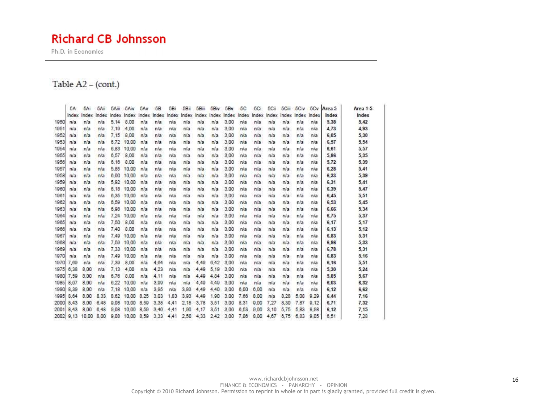Ph.D. in Economics

#### Table A2 - (cont.)

|      | 5A        | 5Ai   | 5Ail  | 5Ailt | 5Aiv  | 5Av   | 58    | 5Bi   | 5Bil  | 5Biii  | 5Biv  | 5Bv   | 5C    | 5Ci   | 5Cii   | 5Call | 5Civ  | 5Cv   | Area 5 | Area 1-5 |
|------|-----------|-------|-------|-------|-------|-------|-------|-------|-------|--------|-------|-------|-------|-------|--------|-------|-------|-------|--------|----------|
|      | Index     | Index | Index | Index | Index | Index | Index | Index | Index | Index  | Index | Index | Index | Index | Index  | Index | Index | Index | Index  | Index    |
| 1950 | n/a       | n/a   | n/a   | 5.14  | 8.00  | nia   | n/a   | n/a   | n/a   | n/a    | n/a   | 3.00  | n/a   | n/a   | nla    | Na    | n/a   | n/a   | 5,38   | 5,42     |
| 1951 | n/a       | r/a   | n/a   | 7,19  | 4.00  | n/a   | n/a   | nía   | n/a   | n/a    | n/а   | 3:00  | n/a   | n/a   | n/a    | n/a   | nia   | nía   | 4.73   | 4,93     |
| 1952 | n/a       | n/a   | n/a   | 7.15  | 8.00  | n/a   | n/a   | n/a   | n/a   | nia    | n/a   | 3.00  | n/a   | n/a   | nía    | n/a   | n/a   | nía   | 6.05   | 5,30     |
| 1953 | n/a       | n/a   | nia   | 6.72  | 10.00 | n/a   | n/a   | n/a   | n/a   | nía    | n/a   | 3.00  | n/a   | n/a   | nía    | n/a   | n/a   | n/a   | 6,57   | 5,54     |
| 1954 | n/a       | n/a   | n/a   | 6.83  | 10.00 | n/a   | n/a   | n/a   | n/a   | n/a    | n/a   | 3.00  | n/a   | n/a   | n/a    | n/a   | n/a   | n/a   | 6.61   | 5,57     |
| 1955 | nia       | n/a   | n/a   | 6,57  | 8.00  | n/a   | n/a   | n/a   | n/a   | nia    | n/a   | 3,00  | n/a   | n/a   | n/a    | n/a   | n/a   | n/a   | 5,86   | 5,35     |
| 1956 | n/a       | n/a   | r/a   | 6.16  | 8.00  | nia   | n/a   | nía   | n/a   | nia    | n/a   | 3,00  | n/a   | n/a   | n/a    | n/a   | n/a   | n/a   | 5,72   | 5,39     |
| 1957 | n/a       | n/a   | n/a   | 5.85  | 10.00 | n/a   | n/a   | n/a   | n/a   | n/a    | n/a   | 3.00  | n/a   | n/a   | n/a    | n/a   | n/a   | n/a   | 6,28   | 5,41     |
| 1958 | n/a       | n/a   | m/a   | 6.00  | 10.00 | n/a   | n/a   | n/a   | n/a   | $ni$ a | n/a   | 3.00  | n/a   | n/a   | n/a    | n/a   | n/a   | n/a   | 6,33   | 5,39     |
| 1959 | n/a       | r/a   | n/a   | 5.92  | 10.00 | n/a   | n/a   | n/a   | n/a   | n/a    | n/a   | 3:00  | n/a   | n/a   | nía    | n/a   | n/a   | nía   | 6.31   | 5,41     |
| 1960 | n/a       | n/a   | n/a   | 6,18  | 10.00 | n/a   | n/a   | n/a   | n/a   | n/a    | n/a   | 3.00  | n/a   | n/a   | nía    | n/a   | n/a   | n/a   | 6,39   | 5,47     |
| 1961 | nia       | n/a   | nia   | 6.35  | 10.00 | n/a   | n/a   | n/a   | n/a   | n/a    | n/a   | 3,00  | n/a   | n/a   | nía    | n/a   | nla   | n/a   | 6,45   | 5,51     |
| 1962 | n/a       | n/a   | n/a   | 6.59  | 10.00 | n/a   | n/a   | n/a   | n/a   | n/a    | n/a   | 3,00  | n/a   | n/a   | nla    | n/a   | n/a   | n/a   | 6,53   | 5,45     |
| 1963 | nia       | n/a   | n/a   | 6.98  | 10:00 | n/a   | n/a   | na    | n/a   | n/a    | n/a   | 3,00  | n/a   | n/a   | n/a    | n/a   | n/a   | n/a   | 6,66   | 5,34     |
| 1964 | n/a       | n/a   | n/a   | 7.24  | 10:00 | n/a   | n/a   | nía   | n/a   | nia    | nía   | 3.00  | n/a   | n/a   | $ni$ a | n/a   | n/a   | n/a   | 6.75   | 5,37     |
| 1965 | n/a       | n/a   | n/a   | 7.50  | 8.00  | n/a   | n/a   | n/a   | n/a   | n/a    | n/a   | 3,00  | n/a   | n/a   | n/a    | n/a   | n/a   | n/a   | 6.17   | 5,17     |
| 1966 | n/a       | n/a   | n/a   | 7,40  | 8.00  | n/a   | n/a   | n/a   | n/a   | n/a    | n/a   | 3.00  | n/a   | n/a   | nla    | n/a   | n/a   | n/a   | 6.13   | 5,12     |
| 1967 | n/a       | r/a   | n/a   | 7.49  | 10.00 | n/a   | n/a   | n/a   | n/a   | nla    | nа    | 3,00  | n/a   | n/a   | nía    | n/a   | n/a   | nía   | 6,83   | 5,31     |
| 1968 | n/a       | n/a   | n/a   | 7.59  | 10.00 | n/a   | n/a   | nía   | n/a   | nia    | n/a   | 3,00  | n/a   | n/a   | nía    | n/a   | n/a   | n/a   | 6,86   | 5,33     |
| 1969 | n/a       | n/a   | n/a   | 7.33  | 10.00 | n/a   | nla   | n/a   | n/a   | n/a    | n/a   | 3.00  | n/a   | n/a   | nía    | n/a   | n/a   | n/a   | 6.78   | 5,31     |
| 1970 | n/a       | n/a   | n/a   | 7.49  | 10.00 | n/a   | n/a   | n/a   | n/a   | n/a    | пľа   | 3.00  | n/a   | n/a   | nia    | n/a   | n/a   | n/a   | 6,83   | 5,16     |
| 1970 | 7.69      | n/a   | n/a   | 7.39  | 8.00  | n/a   | 4.64  | na    | n/a   | 4.49   | 6.42  | 3.00  | n/a   | n/a   | n/a    | n/a   | n/a   | n/a   | 6,16   | 5,51     |
| 1975 | 6.38      | 8.00  | n/a   | 7.13  | 4.00  | n/a   | 4.23  | nía   | n/a   | 4.49   | 5.19  | 3.00  | n/a   | n/a   | n/a    | n/a   | n/a   | n/a   | 5.30   | 5,24     |
| 1980 | 7.59      | 8.00  | n/a   | 8.76  | 8.00  | n/a   | 4,11  | n/a   | n/a   | 4,49   | 4.84  | 3.00  | n/a   | n/a   | n/a    | n/a   | n/a   | n/a   | 5,85   | 5,67     |
| 1985 | 8.07      | 8.00  | n/a   | 6.22  | 10.00 | nia   | 3.99  | n/a   | n/a   | 4.49   | 4.49  | 3.00  | n/a   | n/a   | nía    | n/a   | n/a   | n/a   | 6.03   | 6,32     |
| 1990 | 8.39      | 8.00  | n/a   | 7.18  | 10.00 | n/a   | 3.95  | nía   | 3.93  | 4.49   | 4.40  | 3:00  | 6.00  | 6.00  | n/a    | n/a   | n/a   | nía   | 6, 12  | 6,62     |
| 1995 | 8.64      | 8.00  | 8.33  | 8.62  | 10.00 | 8.25  | 3.03  | 1.83  | 3,93  | 4,49   | 1,90  | 3.00  | 7.66  | 8.00  | n/a    | 8.28  | 5.08  | 9.29  | 6,44   | 7,16     |
| 2000 | 8.43      | 8.00  | 6.48  | 9.08  | 10.00 | 8.59  | 3.38  | 4.41  | 2.18  | 3.78   | 3.51  | 3.00  | 8.31  | 9.00  | 7.27   | 8.30  | 7.87  | 9,12  | 6,71   | 7,32     |
| 2001 | 8.43      | 8.00  | 6.48  | 9.08  | 10.00 | 8.59  | 3.40  | 4.41  | 1.90  | 4.17   | 3.51  | 3.00  | 6.53  | 9.00  | 3.10   | 5.75  | 5.83  | 8.98  | 6.12   | 7,15     |
|      | 2002 9.13 | 10.00 | 8.00  | 9.08  | 10:00 | 8,59  | 3,33  | 4.41  | 2,50  | 4,33   | 2.42  | 3,00  | 7.06  | 8.00  | 4.67   | 6.75  | 6,83  | 9.05  | 8.51   | 7,28     |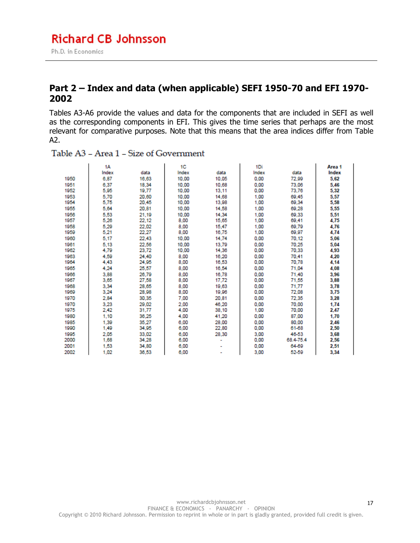#### **Part 2 – Index and data (when applicable) SEFI 1950-70 and EFI 1970- 2002**

Tables A3-A6 provide the values and data for the components that are included in SEFI as well as the corresponding components in EFI. This gives the time series that perhaps are the most relevant for comparative purposes. Note that this means that the area indices differ from Table A2.

|      | 1A    |       | 1C    |       | 1Di   |           | Area 1 |
|------|-------|-------|-------|-------|-------|-----------|--------|
|      | Index | data  | Index | data  | Index | data      | Index  |
| 1950 | 6,87  | 16,63 | 10,00 | 10,05 | 0.00  | 72,99     | 5,62   |
| 1951 | 6.37  | 18.34 | 10.00 | 10.68 | 0.00  | 73,06     | 5,46   |
| 1952 | 5,95  | 19,77 | 10,00 | 13.11 | 0.00  | 73,76     | 5,32   |
| 1953 | 5.70  | 20.60 | 10.00 | 14.68 | 1.00  | 69.45     | 5,57   |
| 1954 | 5,75  | 20,45 | 10.00 | 13,98 | 1.00  | 69.34     | 5,58   |
| 1955 | 5,64  | 20,81 | 10.00 | 14,58 | 1.00  | 69,28     | 5,55   |
| 1956 | 5.53  | 21,19 | 10.00 | 14.34 | 1.00  | 69.33     | 5,51   |
| 1957 | 5.26  | 22,12 | 8,00  | 15,65 | 1.00  | 69.41     | 4.75   |
| 1958 | 5.29  | 22.02 | 8,00  | 15,47 | 1.00  | 69.79     | 4,76   |
| 1959 | 5,21  | 22.27 | 8,00  | 16,75 | 1.00  | 69.97     | 4.74   |
| 1960 | 5.17  | 22,43 | 10.00 | 14.74 | 0.00  | 70.12     | 5.06   |
| 1961 | 5.13  | 22,56 | 10.00 | 13,79 | 0.00  | 70.25     | 5.04   |
| 1962 | 4.79  | 23,72 | 10.00 | 14,36 | 0.00  | 70.33     | 4,93   |
| 1963 | 4.50  | 24.40 | 8.00  | 16,20 | 0.00  | 70.41     | 4.20   |
| 1964 | 4,43  | 24,95 | 8,00  | 16,53 | 0.00  | 70.78     | 4,14   |
| 1965 | 4.24  | 25,57 | 8.00  | 16.54 | 0.00  | 71.04     | 4,08   |
| 1966 | 3,88  | 26,79 | 8.00  | 16,78 | 0.00  | 71.40     | 3,96   |
| 1967 | 3,65  | 27,58 | 8,00  | 17,72 | 0,00  | 71,55     | 3,88   |
| 1968 | 3.34  | 28,65 | 8.00  | 19,63 | 0.00  | 71.77     | 3,78   |
| 1969 | 3,24  | 28,98 | 8,00  | 19,96 | 0.00  | 72,08     | 3,75   |
| 1970 | 2,84  | 30.35 | 7,00  | 20,81 | 0.00  | 72,35     | 3,28   |
| 1970 | 3,23  | 29,02 | 2,00  | 46.20 | 0.00  | 70.00     | 1,74   |
| 1975 | 2,42  | 31,77 | 4,00  | 38,10 | 1,00  | 70.00     | 2,47   |
| 1980 | 1.10  | 36.25 | 4.00  | 41.20 | 0.00  | 87.00     | 1,70   |
| 1985 | 1,39  | 35,27 | 6.00  | 28,00 | 0.00  | 80.00     | 2,46   |
| 1990 | 1.49  | 34,95 | 6,00  | 22,80 | 0.00  | 61-68     | 2,50   |
| 1995 | 2.05  | 33.02 | 6.00  | 28,30 | 3.00  | 46-53     | 3,68   |
| 2000 | 1,68  | 34,28 | 6,00  |       | 0.00  | 68.4-75.4 | 2,56   |
| 2001 | 1,53  | 34,80 | 6,00  |       | 0.00  | 64-69     | 2,51   |
| 2002 | 1.02  | 36.53 | 6.00  |       | 3.00  | 52-59     | 3,34   |

Table A3 - Area 1 - Size of Government

17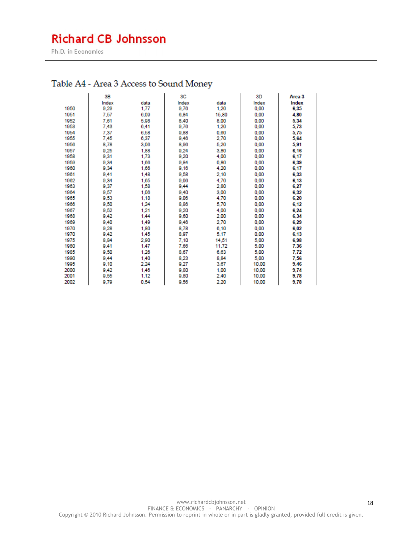Ph.D. in Economics

## Table A4 - Area 3 Access to Sound Money

|      | 3B    |      | 3С    |       | 3D    | Area 3 |
|------|-------|------|-------|-------|-------|--------|
|      | Index | data | Index | data  | Index | Index  |
| 1950 | 9,29  | 1,77 | 9,76  | 1,20  | 0.00  | 6,35   |
| 1951 | 7,57  | 6.09 | 6,84  | 15,80 | 0.00  | 4,80   |
| 1952 | 7,61  | 5,98 | 8,40  | 8,00  | 0.00  | 5,34   |
| 1953 | 7.43  | 6,41 | 9,76  | 1,20  | 0.00  | 5,73   |
| 1954 | 7.37  | 6.58 | 9,88  | 0.60  | 0.00  | 5.75   |
| 1955 | 7,45  | 6,37 | 9,46  | 2,70  | 0,00  | 5,64   |
| 1956 | 8,78  | 3.06 | 8,96  | 5.20  | 0.00  | 5,91   |
| 1957 | 9.25  | 1,88 | 9.24  | 3,80  | 0.00  | 6,16   |
| 1958 | 9,31  | 1.73 | 9.20  | 4.00  | 0.00  | 6,17   |
| 1959 | 9,34  | 1,66 | 9.84  | 0,80  | 0.00  | 6,39   |
| 1960 | 9,34  | 1,66 | 9,16  | 4,20  | 0,00  | 6,17   |
| 1961 | 9.41  | 1.48 | 9,58  | 2.10  | 0.00  | 6,33   |
| 1962 | 9.34  | 1.65 | 9,06  | 4.70  | 0.00  | 6.13   |
| 1963 | 9,37  | 1,58 | 9.44  | 2,80  | 0,00  | 6,27   |
| 1964 | 9,57  | 1.06 | 9,40  | 3.00  | 0.00  | 6,32   |
| 1965 | 9,53  | 1.18 | 9,06  | 4.70  | 0.00  | 6,20   |
| 1966 | 9,50  | 1,24 | 8,86  | 5,70  | 0,00  | 6,12   |
| 1967 | 9,52  | 1.21 | 9.20  | 4.00  | 0.00  | 6,24   |
| 1968 | 9.42  | 1,44 | 9,60  | 2,00  | 0,00  | 6,34   |
| 1969 | 9,40  | 1.49 | 9,46  | 2,70  | 0.00  | 6,29   |
| 1970 | 9,28  | 1,80 | 8,78  | 6,10  | 0.00  | 6,02   |
| 1970 | 9,42  | 1,45 | 8,97  | 5,17  | 0,00  | 6,13   |
| 1975 | 8,84  | 2.90 | 7,10  | 14.51 | 5.00  | 6,98   |
| 1980 | 9,41  | 1,47 | 7,66  | 11,72 | 5,00  | 7,36   |
| 1985 | 9,50  | 1,26 | 8,67  | 6,63  | 5,00  | 7,72   |
| 1990 | 9.44  | 1.40 | 8,23  | 8.84  | 5.00  | 7,56   |
| 1995 | 9,10  | 2,24 | 9,27  | 3,67  | 10,00 | 9,46   |
| 2000 | 9.42  | 1.46 | 9,80  | 1.00  | 10.00 | 9.74   |
| 2001 | 9,55  | 1.12 | 9,80  | 2,40  | 10,00 | 9,78   |
| 2002 | 9,79  | 0.54 | 9,56  | 2,20  | 10,00 | 9,78   |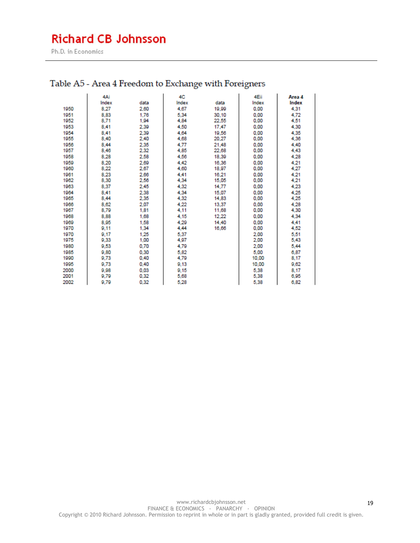Ph.D. in Economics

|      | 4Ai   |      | 4C    |       | 4Eii  | Area 4 |
|------|-------|------|-------|-------|-------|--------|
|      | Index | data | Index | data  | Index | Index  |
| 1950 | 8,27  | 2,60 | 4,67  | 19,99 | 0,00  | 4,31   |
| 1951 | 8.83  | 1.76 | 5,34  | 30.10 | 0.00  | 4,72   |
| 1952 | 8,71  | 1,94 | 4,84  | 22,55 | 0,00  | 4,51   |
| 1953 | 8.41  | 2.39 | 4,50  | 17.47 | 0.00  | 4,30   |
| 1954 | 8.41  | 2.39 | 4.64  | 19,56 | 0.00  | 4,35   |
| 1955 | 8,40  | 2,40 | 4,68  | 20,27 | 0,00  | 4,36   |
| 1956 | 8,44  | 2,35 | 4,77  | 21,48 | 0,00  | 4,40   |
| 1957 | 8,46  | 2,32 | 4,85  | 22,68 | 0.00  | 4,43   |
| 1958 | 8,28  | 2,58 | 4,56  | 18,39 | 0,00  | 4,28   |
| 1959 | 8.20  | 2.69 | 4.42  | 16,36 | 0.00  | 4,21   |
| 1960 | 8,22  | 2,67 | 4,60  | 18,97 | 0.00  | 4,27   |
| 1961 | 8,23  | 2,66 | 4,41  | 16,21 | 0,00  | 4,21   |
| 1962 | 8,30  | 2,56 | 4,34  | 15,05 | 0,00  | 4,21   |
| 1963 | 8,37  | 2,45 | 4,32  | 14,77 | 0,00  | 4,23   |
| 1964 | 8.41  | 2,38 | 4,34  | 15,07 | 0,00  | 4,25   |
| 1965 | 8,44  | 2,35 | 4,32  | 14,83 | 0.00  | 4,25   |
| 1966 | 8.62  | 2.07 | 4,22  | 13,37 | 0.00  | 4,28   |
| 1967 | 8,79  | 1,81 | 4.11  | 11,68 | 0.00  | 4,30   |
| 1968 | 8,88  | 1,68 | 4,15  | 12,22 | 0,00  | 4,34   |
| 1969 | 8,95  | 1,58 | 4,29  | 14,40 | 0.00  | 4.41   |
| 1970 | 9,11  | 1.34 | 4,44  | 16,66 | 0.00  | 4,52   |
| 1970 | 9.17  | 1,25 | 5,37  |       | 2,00  | 5,51   |
| 1975 | 9,33  | 1,00 | 4,97  |       | 2,00  | 5,43   |
| 1980 | 9,53  | 0,70 | 4,79  |       | 2,00  | 5,44   |
| 1985 | 9,80  | 0,30 | 5,82  |       | 5,00  | 6,87   |
| 1990 | 9,73  | 0,40 | 4,79  |       | 10,00 | 8,17   |
| 1995 | 9,73  | 0.40 | 9,13  |       | 10,00 | 9,62   |
| 2000 | 9,98  | 0.03 | 9,15  |       | 5.38  | 8,17   |
| 2001 | 9,79  | 0,32 | 5,68  |       | 5,38  | 6,95   |
| 2002 | 9,79  | 0,32 | 5,28  |       | 5,38  | 6,82   |

## Table A5 - Area 4 Freedom to Exchange with Foreigners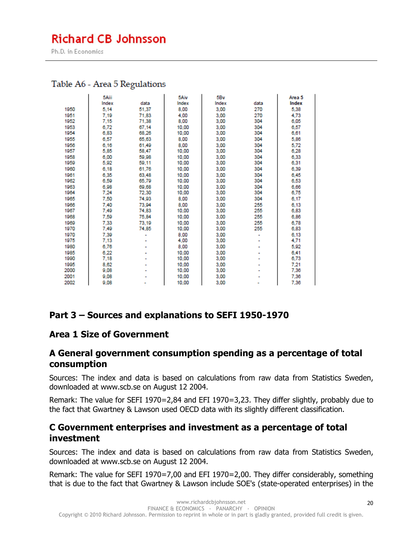Ph.D. in Economics

#### Table A6 - Area 5 Regulations

|      | 5Aiii |       | 5Aiv  | 5B <sub>v</sub> |      | Area 5 |
|------|-------|-------|-------|-----------------|------|--------|
|      | Index | data  | Index | Index           | data | Index  |
| 1950 | 5,14  | 51,37 | 8,00  | 3,00            | 270  | 5,38   |
| 1951 | 7.19  | 71.83 | 4.00  | 3.00            | 270  | 4.73   |
| 1952 | 7.15  | 71,38 | 8,00  | 3,00            | 304  | 6,05   |
| 1953 | 6,72  | 67,14 | 10,00 | 3,00            | 304  | 6,57   |
| 1954 | 6,83  | 68,26 | 10,00 | 3,00            | 304  | 6,61   |
| 1955 | 6,57  | 65,63 | 8,00  | 3,00            | 304  | 5,86   |
| 1956 | 6.16  | 61.49 | 8,00  | 3.00            | 304  | 5,72   |
| 1957 | 5,85  | 58,47 | 10,00 | 3,00            | 304  | 6,28   |
| 1958 | 6.00  | 59.98 | 10.00 | 3.00            | 304  | 6,33   |
| 1959 | 5,92  | 59,11 | 10,00 | 3,00            | 304  | 6,31   |
| 1960 | 6,18  | 61,76 | 10,00 | 3,00            | 304  | 6,39   |
| 1961 | 6,35  | 63,48 | 10,00 | 3,00            | 304  | 6,45   |
| 1962 | 6,59  | 65,79 | 10,00 | 3,00            | 304  | 6,53   |
| 1963 | 6,98  | 69.68 | 10.00 | 3.00            | 304  | 6,66   |
| 1964 | 7.24  | 72,30 | 10,00 | 3,00            | 304  | 6,75   |
| 1965 | 7,50  | 74,93 | 8,00  | 3,00            | 304  | 6,17   |
| 1966 | 7.40  | 73.94 | 8.00  | 3.00            | 255  | 6,13   |
| 1967 | 7,49  | 74,83 | 10,00 | 3,00            | 255  | 6,83   |
| 1968 | 7,59  | 75,84 | 10,00 | 3,00            | 255  | 6,86   |
| 1969 | 7.33  | 73.19 | 10.00 | 3.00            | 255  | 6.78   |
| 1970 | 7,49  | 74,85 | 10,00 | 3,00            | 255  | 6,83   |
| 1970 | 7,39  |       | 8,00  | 3,00            | ٠    | 6,13   |
| 1975 | 7,13  |       | 4,00  | 3,00            |      | 4.71   |
| 1980 | 6,76  |       | 8,00  | 3,00            |      | 5,92   |
| 1985 | 6,22  |       | 10.00 | 3.00            |      | 6,41   |
| 1990 | 7,18  |       | 10,00 | 3,00            |      | 6,73   |
| 1995 | 8,62  |       | 10,00 | 3,00            |      | 7,21   |
| 2000 | 9,08  |       | 10,00 | 3,00            |      | 7,36   |
| 2001 | 9,08  |       | 10,00 | 3,00            |      | 7,36   |
| 2002 | 9,08  |       | 10,00 | 3,00            |      | 7,36   |

### **Part 3 – Sources and explanations to SEFI 1950-1970**

#### **Area 1 Size of Government**

#### **A General government consumption spending as a percentage of total consumption**

Sources: The index and data is based on calculations from raw data from Statistics Sweden, downloaded at www.scb.se on August 12 2004.

Remark: The value for SEFI 1970=2,84 and EFI 1970=3,23. They differ slightly, probably due to the fact that Gwartney & Lawson used OECD data with its slightly different classification.

#### **C Government enterprises and investment as a percentage of total investment**

Sources: The index and data is based on calculations from raw data from Statistics Sweden, downloaded at www.scb.se on August 12 2004.

Remark: The value for SEFI 1970=7,00 and EFI 1970=2,00. They differ considerably, something that is due to the fact that Gwartney & Lawson include SOE's (state-operated enterprises) in the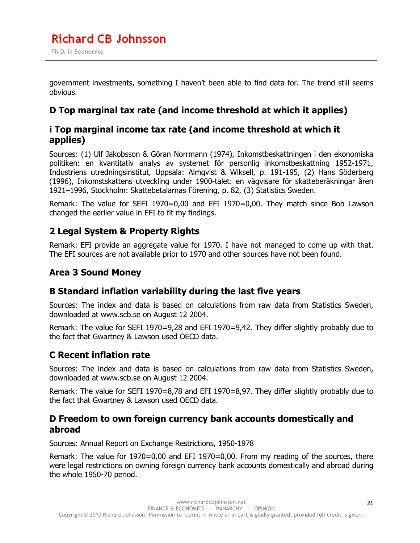government investments, something I haven't been able to find data for. The trend still seems obvious.

## **D Top marginal tax rate (and income threshold at which it applies)**

## **i Top marginal income tax rate (and income threshold at which it applies)**

Sources: (1) Ulf Jakobsson & Göran Norrmann (1974), Inkomstbeskattningen i den ekonomiska politiken: en kvantitativ analys av systemet för personlig inkomstbeskattning 1952-1971, Industriens utredningsinstitut, Uppsala: Almqvist & Wiksell, p. 191-195, (2) Hans Söderberg (1996), Inkomstskattens utveckling under 1900-talet: en vägvisare för skatteberäkningar åren 1921–1996, Stockholm: Skattebetalarnas Förening, p. 82, (3) Statistics Sweden.

Remark: The value for SEFI 1970=0,00 and EFI 1970=0,00. They match since Bob Lawson changed the earlier value in EFI to fit my findings.

## **2 Legal System & Property Rights**

Remark: EFI provide an aggregate value for 1970. I have not managed to come up with that. The EFI sources are not available prior to 1970 and other sources have not been found.

## **Area 3 Sound Money**

### **B Standard inflation variability during the last five years**

Sources: The index and data is based on calculations from raw data from Statistics Sweden, downloaded at www.scb.se on August 12 2004.

Remark: The value for SEFI 1970=9,28 and EFI 1970=9,42. They differ slightly probably due to the fact that Gwartney & Lawson used OECD data.

## **C Recent inflation rate**

Sources: The index and data is based on calculations from raw data from Statistics Sweden, downloaded at www.scb.se on August 12 2004.

Remark: The value for SEFI 1970=8,78 and EFI 1970=8,97. They differ slightly probably due to the fact that Gwartney & Lawson used OECD data.

### **D Freedom to own foreign currency bank accounts domestically and abroad**

Sources: Annual Report on Exchange Restrictions, 1950-1978

Remark: The value for 1970=0,00 and EFI 1970=0,00. From my reading of the sources, there were legal restrictions on owning foreign currency bank accounts domestically and abroad during the whole 1950-70 period.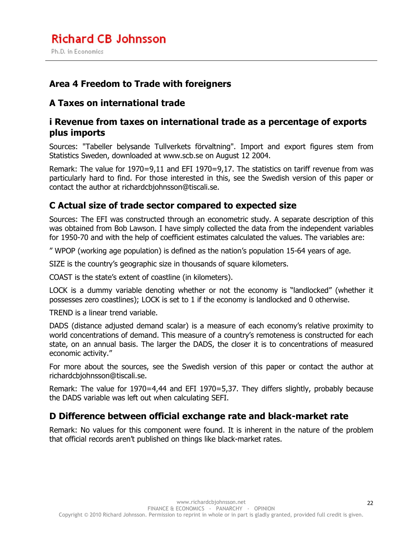## **Area 4 Freedom to Trade with foreigners**

## **A Taxes on international trade**

## **i Revenue from taxes on international trade as a percentage of exports plus imports**

Sources: "Tabeller belysande Tullverkets förvaltning". Import and export figures stem from Statistics Sweden, downloaded at www.scb.se on August 12 2004.

Remark: The value for 1970=9,11 and EFI 1970=9,17. The statistics on tariff revenue from was particularly hard to find. For those interested in this, see the Swedish version of this paper or contact the author at richardcbjohnsson@tiscali.se.

## **C Actual size of trade sector compared to expected size**

Sources: The EFI was constructed through an econometric study. A separate description of this was obtained from Bob Lawson. I have simply collected the data from the independent variables for 1950-70 and with the help of coefficient estimates calculated the values. The variables are:

" WPOP (working age population) is defined as the nation's population 15-64 years of age.

SIZE is the country's geographic size in thousands of square kilometers.

COAST is the state's extent of coastline (in kilometers).

LOCK is a dummy variable denoting whether or not the economy is "landlocked" (whether it possesses zero coastlines); LOCK is set to 1 if the economy is landlocked and 0 otherwise.

TREND is a linear trend variable.

DADS (distance adjusted demand scalar) is a measure of each economy's relative proximity to world concentrations of demand. This measure of a country's remoteness is constructed for each state, on an annual basis. The larger the DADS, the closer it is to concentrations of measured economic activity."

For more about the sources, see the Swedish version of this paper or contact the author at richardcbjohnsson@tiscali.se.

Remark: The value for 1970=4,44 and EFI 1970=5,37. They differs slightly, probably because the DADS variable was left out when calculating SEFI.

## **D Difference between official exchange rate and black-market rate**

Remark: No values for this component were found. It is inherent in the nature of the problem that official records aren't published on things like black-market rates.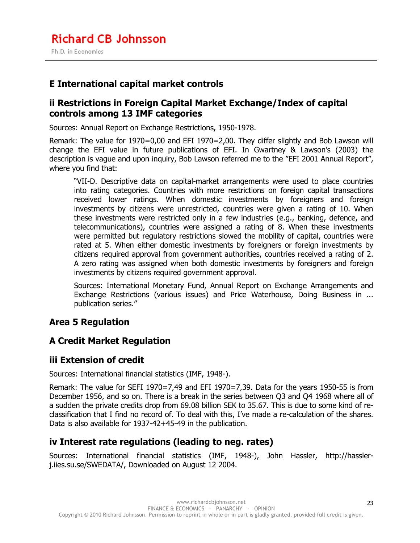## **E International capital market controls**

### **ii Restrictions in Foreign Capital Market Exchange/Index of capital controls among 13 IMF categories**

Sources: Annual Report on Exchange Restrictions, 1950-1978.

Remark: The value for 1970=0,00 and EFI 1970=2,00. They differ slightly and Bob Lawson will change the EFI value in future publications of EFI. In Gwartney & Lawson's (2003) the description is vague and upon inquiry, Bob Lawson referred me to the "EFI 2001 Annual Report", where you find that:

"VII-D. Descriptive data on capital-market arrangements were used to place countries into rating categories. Countries with more restrictions on foreign capital transactions received lower ratings. When domestic investments by foreigners and foreign investments by citizens were unrestricted, countries were given a rating of 10. When these investments were restricted only in a few industries (e.g., banking, defence, and telecommunications), countries were assigned a rating of 8. When these investments were permitted but regulatory restrictions slowed the mobility of capital, countries were rated at 5. When either domestic investments by foreigners or foreign investments by citizens required approval from government authorities, countries received a rating of 2. A zero rating was assigned when both domestic investments by foreigners and foreign investments by citizens required government approval.

Sources: International Monetary Fund, Annual Report on Exchange Arrangements and Exchange Restrictions (various issues) and Price Waterhouse, Doing Business in ... publication series."

### **Area 5 Regulation**

### **A Credit Market Regulation**

### **iii Extension of credit**

Sources: International financial statistics (IMF, 1948-).

Remark: The value for SEFI 1970=7,49 and EFI 1970=7,39. Data for the years 1950-55 is from December 1956, and so on. There is a break in the series between Q3 and Q4 1968 where all of a sudden the private credits drop from 69.08 billion SEK to 35.67. This is due to some kind of reclassification that I find no record of. To deal with this, I've made a re-calculation of the shares. Data is also available for 1937-42+45-49 in the publication.

### **iv Interest rate regulations (leading to neg. rates)**

Sources: International financial statistics (IMF, 1948-), John Hassler, http://hasslerj.iies.su.se/SWEDATA/, Downloaded on August 12 2004.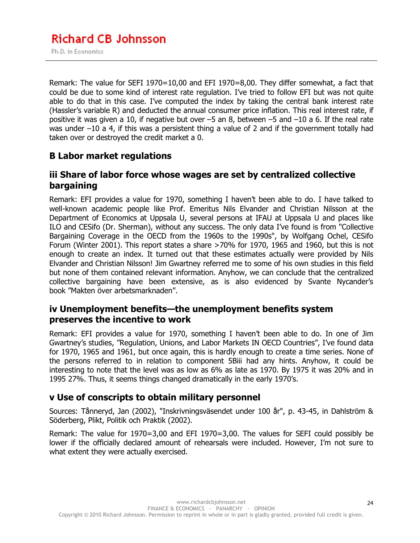Remark: The value for SEFI 1970=10,00 and EFI 1970=8,00. They differ somewhat, a fact that could be due to some kind of interest rate regulation. I've tried to follow EFI but was not quite able to do that in this case. I've computed the index by taking the central bank interest rate (Hassler's variable R) and deducted the annual consumer price inflation. This real interest rate, if positive it was given a 10, if negative but over –5 an 8, between –5 and –10 a 6. If the real rate was under –10 a 4, if this was a persistent thing a value of 2 and if the government totally had taken over or destroyed the credit market a 0.

## **B Labor market regulations**

## **iii Share of labor force whose wages are set by centralized collective bargaining**

Remark: EFI provides a value for 1970, something I haven't been able to do. I have talked to well-known academic people like Prof. Emeritus Nils Elvander and Christian Nilsson at the Department of Economics at Uppsala U, several persons at IFAU at Uppsala U and places like ILO and CESifo (Dr. Sherman), without any success. The only data I've found is from "Collective Bargaining Coverage in the OECD from the 1960s to the 1990s", by Wolfgang Ochel, CESifo Forum (Winter 2001). This report states a share >70% for 1970, 1965 and 1960, but this is not enough to create an index. It turned out that these estimates actually were provided by Nils Elvander and Christian Nilsson! Jim Gwartney referred me to some of his own studies in this field but none of them contained relevant information. Anyhow, we can conclude that the centralized collective bargaining have been extensive, as is also evidenced by Svante Nycander's book "Makten över arbetsmarknaden".

#### **iv Unemployment benefits—the unemployment benefits system preserves the incentive to work**

Remark: EFI provides a value for 1970, something I haven't been able to do. In one of Jim Gwartney's studies, "Regulation, Unions, and Labor Markets IN OECD Countries", I've found data for 1970, 1965 and 1961, but once again, this is hardly enough to create a time series. None of the persons referred to in relation to component 5Biii had any hints. Anyhow, it could be interesting to note that the level was as low as 6% as late as 1970. By 1975 it was 20% and in 1995 27%. Thus, it seems things changed dramatically in the early 1970's.

### **v Use of conscripts to obtain military personnel**

Sources: Tånneryd, Jan (2002), "Inskrivningsväsendet under 100 år", p. 43-45, in Dahlström & Söderberg, Plikt, Politik och Praktik (2002).

Remark: The value for 1970=3,00 and EFI 1970=3,00. The values for SEFI could possibly be lower if the officially declared amount of rehearsals were included. However, I'm not sure to what extent they were actually exercised.